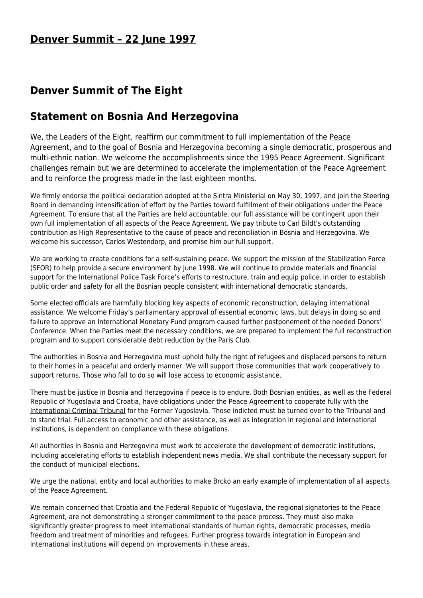## **[Denver Summit – 22 June 1997](http://www.ohr.int/ohr_archive/denver-summit-22-june-1997-2/)**

## **Denver Summit of The Eight**

## **Statement on Bosnia And Herzegovina**

We, the Leaders of the Eight, reaffirm our commitment to full implementation of the [Peace](http://www.ohr.int/dpa/default.asp?content_id=380) [Agreement,](http://www.ohr.int/dpa/default.asp?content_id=380) and to the goal of Bosnia and Herzegovina becoming a single democratic, prosperous and multi-ethnic nation. We welcome the accomplishments since the 1995 Peace Agreement. Significant challenges remain but we are determined to accelerate the implementation of the Peace Agreement and to reinforce the progress made in the last eighteen months.

We firmly endorse the political declaration adopted at the [Sintra Ministerial](http://www.ohr.int/pic/default.asp?content_id=5180) on May 30, 1997, and join the Steering Board in demanding intensification of effort by the Parties toward fulfillment of their obligations under the Peace Agreement. To ensure that all the Parties are held accountable, our full assistance will be contingent upon their own full implementation of all aspects of the Peace Agreement. We pay tribute to Carl Bildt's outstanding contribution as High Representative to the cause of peace and reconciliation in Bosnia and Herzegovina. We welcome his successor, [Carlos Westendorp](http://www.ohr.int/cv/cwestendorp.asp), and promise him our full support.

We are working to create conditions for a self-sustaining peace. We support the mission of the Stabilization Force ([SFOR\)](http://www.nato.int/ifor/) to help provide a secure environment by June 1998. We will continue to provide materials and financial support for the International Police Task Force's efforts to restructure, train and equip police, in order to establish public order and safety for all the Bosnian people consistent with international democratic standards.

Some elected officials are harmfully blocking key aspects of economic reconstruction, delaying international assistance. We welcome Friday's parliamentary approval of essential economic laws, but delays in doing so and failure to approve an International Monetary Fund program caused further postponement of the needed Donors' Conference. When the Parties meet the necessary conditions, we are prepared to implement the full reconstruction program and to support considerable debt reduction by the Paris Club.

The authorities in Bosnia and Herzegovina must uphold fully the right of refugees and displaced persons to return to their homes in a peaceful and orderly manner. We will support those communities that work cooperatively to support returns. Those who fall to do so will lose access to economic assistance.

There must be justice in Bosnia and Herzegovina if peace is to endure. Both Bosnian entities, as well as the Federal Republic of Yugoslavia and Croatia, have obligations under the Peace Agreement to cooperate fully with the [International Criminal Tribunal](http://www.un.org/icty/) for the Former Yugoslavia. Those indicted must be turned over to the Tribunal and to stand trial. Full access to economic and other assistance, as well as integration in regional and international institutions, is dependent on compliance with these obligations.

All authorities in Bosnia and Herzegovina must work to accelerate the development of democratic institutions, including accelerating efforts to establish independent news media. We shall contribute the necessary support for the conduct of municipal elections.

We urge the national, entity and local authorities to make Brcko an early example of implementation of all aspects of the Peace Agreement.

We remain concerned that Croatia and the Federal Republic of Yugoslavia, the regional signatories to the Peace Agreement, are not demonstrating a stronger commitment to the peace process. They must also make significantly greater progress to meet international standards of human rights, democratic processes, media freedom and treatment of minorities and refugees. Further progress towards integration in European and international institutions will depend on improvements in these areas.